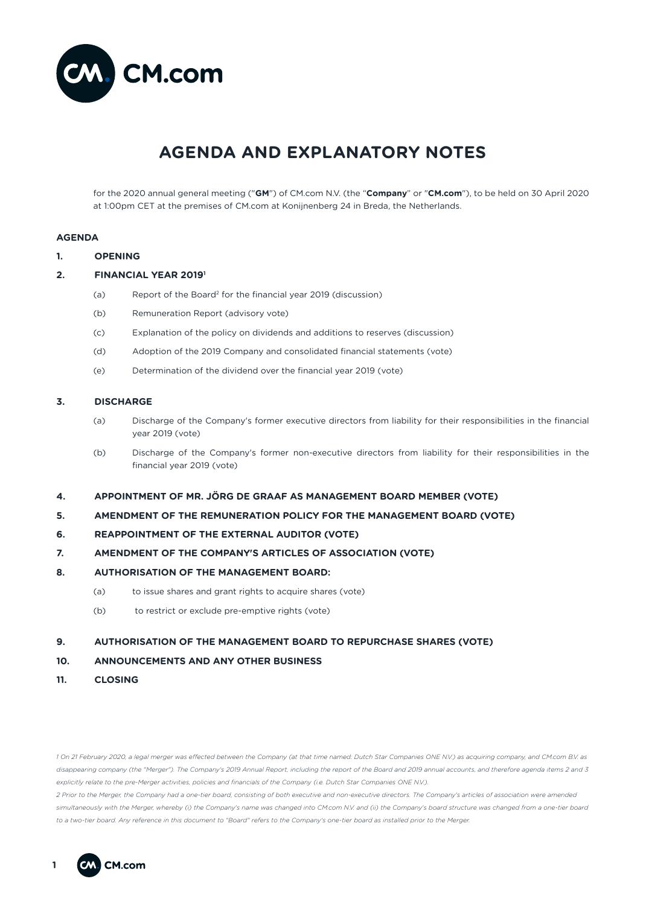

# **AGENDA AND EXPLANATORY NOTES**

for the 2020 annual general meeting ("**GM**") of CM.com N.V. (the "**Company**" or "**CM.com**"), to be held on 30 April 2020 at 1:00pm CET at the premises of CM.com at Konijnenberg 24 in Breda, the Netherlands.

# **AGENDA**

- **1. OPENING**
- **2. FINANCIAL YEAR 20191**
	- (a) Report of the Board2 for the financial year 2019 (discussion)
	- (b) Remuneration Report (advisory vote)
	- (c) Explanation of the policy on dividends and additions to reserves (discussion)
	- (d) Adoption of the 2019 Company and consolidated financial statements (vote)
	- (e) Determination of the dividend over the financial year 2019 (vote)

# **3. DISCHARGE**

- (a) Discharge of the Company's former executive directors from liability for their responsibilities in the financial year 2019 (vote)
- (b) Discharge of the Company's former non-executive directors from liability for their responsibilities in the financial year 2019 (vote)
- **4. APPOINTMENT OF MR. JÖRG DE GRAAF AS MANAGEMENT BOARD MEMBER (VOTE)**
- **5. AMENDMENT OF THE REMUNERATION POLICY FOR THE MANAGEMENT BOARD (VOTE)**
- **6. REAPPOINTMENT OF THE EXTERNAL AUDITOR (VOTE)**
- **7. AMENDMENT OF THE COMPANY'S ARTICLES OF ASSOCIATION (VOTE)**
- **8. AUTHORISATION OF THE MANAGEMENT BOARD:**
	- (a) to issue shares and grant rights to acquire shares (vote)
	- (b) to restrict or exclude pre-emptive rights (vote)

# **9. AUTHORISATION OF THE MANAGEMENT BOARD TO REPURCHASE SHARES (VOTE)**

# **10. ANNOUNCEMENTS AND ANY OTHER BUSINESS**

**11. CLOSING**

*1 On 21 February 2020, a legal merger was effected between the Company (at that time named: Dutch Star Companies ONE N.V.) as acquiring company, and CM.com B.V. as*  disappearing company (the "Merger"). The Company's 2019 Annual Report, including the report of the Board and 2019 annual accounts, and therefore agenda items 2 and 3 *explicitly relate to the pre-Merger activities, policies and financials of the Company (i.e. Dutch Star Companies ONE N.V.).*

*2 Prior to the Merger, the Company had a one-tier board, consisting of both executive and non-executive directors. The Company's articles of association were amended simultaneously with the Merger, whereby (i) the Company's name was changed into CM.com N.V. and (ii) the Company's board structure was changed from a one-tier board to a two-tier board. Any reference in this document to "Board" refers to the Company's one-tier board as installed prior to the Merger.*

**1**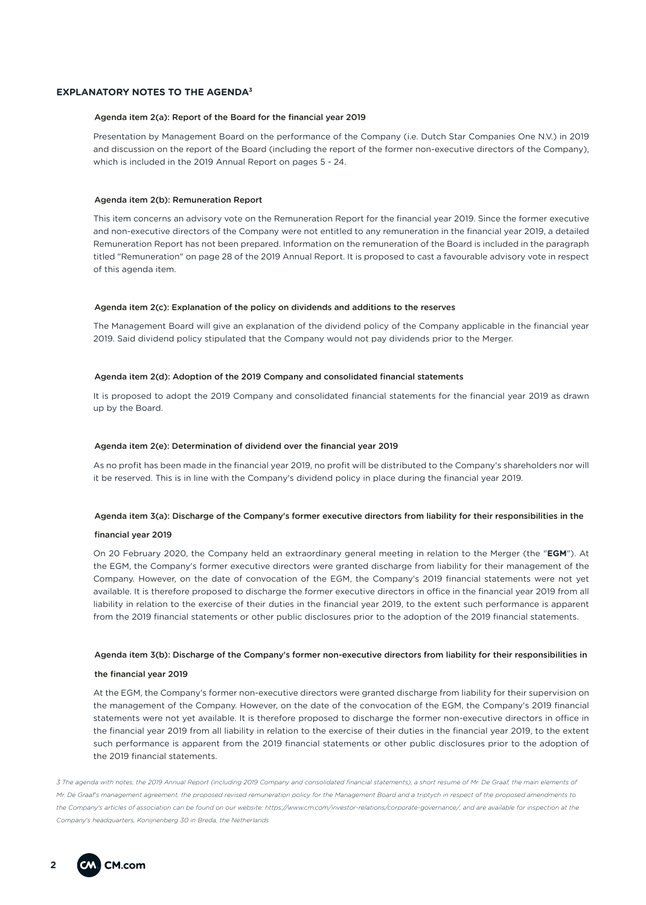# **EXPLANATORY NOTES TO THE AGENDA3**

## Agenda item 2(a): Report of the Board for the financial year 2019

Presentation by Management Board on the performance of the Company (i.e. Dutch Star Companies One N.V.) in 2019 and discussion on the report of the Board (including the report of the former non-executive directors of the Company), which is included in the 2019 Annual Report on pages 5 - 24.

## Agenda item 2(b): Remuneration Report

This item concerns an advisory vote on the Remuneration Report for the financial year 2019. Since the former executive and non-executive directors of the Company were not entitled to any remuneration in the financial year 2019, a detailed Remuneration Report has not been prepared. Information on the remuneration of the Board is included in the paragraph titled "Remuneration" on page 28 of the 2019 Annual Report. It is proposed to cast a favourable advisory vote in respect of this agenda item.

# Agenda item 2(c): Explanation of the policy on dividends and additions to the reserves

The Management Board will give an explanation of the dividend policy of the Company applicable in the financial year 2019. Said dividend policy stipulated that the Company would not pay dividends prior to the Merger.

# Agenda item 2(d): Adoption of the 2019 Company and consolidated financial statements

It is proposed to adopt the 2019 Company and consolidated financial statements for the financial year 2019 as drawn up by the Board.

# Agenda item 2(e): Determination of dividend over the financial year 2019

As no profit has been made in the financial year 2019, no profit will be distributed to the Company's shareholders nor will it be reserved. This is in line with the Company's dividend policy in place during the financial year 2019.

#### Agenda item 3(a): Discharge of the Company's former executive directors from liability for their responsibilities in the

## financial year 2019

On 20 February 2020, the Company held an extraordinary general meeting in relation to the Merger (the "**EGM**"). At the EGM, the Company's former executive directors were granted discharge from liability for their management of the Company. However, on the date of convocation of the EGM, the Company's 2019 financial statements were not yet available. It is therefore proposed to discharge the former executive directors in office in the financial year 2019 from all liability in relation to the exercise of their duties in the financial year 2019, to the extent such performance is apparent from the 2019 financial statements or other public disclosures prior to the adoption of the 2019 financial statements.

## Agenda item 3(b): Discharge of the Company's former non-executive directors from liability for their responsibilities in

#### the financial year 2019

At the EGM, the Company's former non-executive directors were granted discharge from liability for their supervision on the management of the Company. However, on the date of the convocation of the EGM, the Company's 2019 financial statements were not yet available. It is therefore proposed to discharge the former non-executive directors in office in the financial year 2019 from all liability in relation to the exercise of their duties in the financial year 2019, to the extent such performance is apparent from the 2019 financial statements or other public disclosures prior to the adoption of the 2019 financial statements.

*3 The agenda with notes, the 2019 Annual Report (including 2019 Company and consolidated financial statements), a short resume of Mr. De Graaf, the main elements of Mr. De Graaf's management agreement, the proposed revised remuneration policy for the Management Board and a triptych in respect of the proposed amendments to the Company's articles of association can be found on our website: https://www.cm.com/investor-relations/corporate-governance/, and are available for inspection at the Company's headquarters, Konijnenberg 30 in Breda, the Netherlands* 

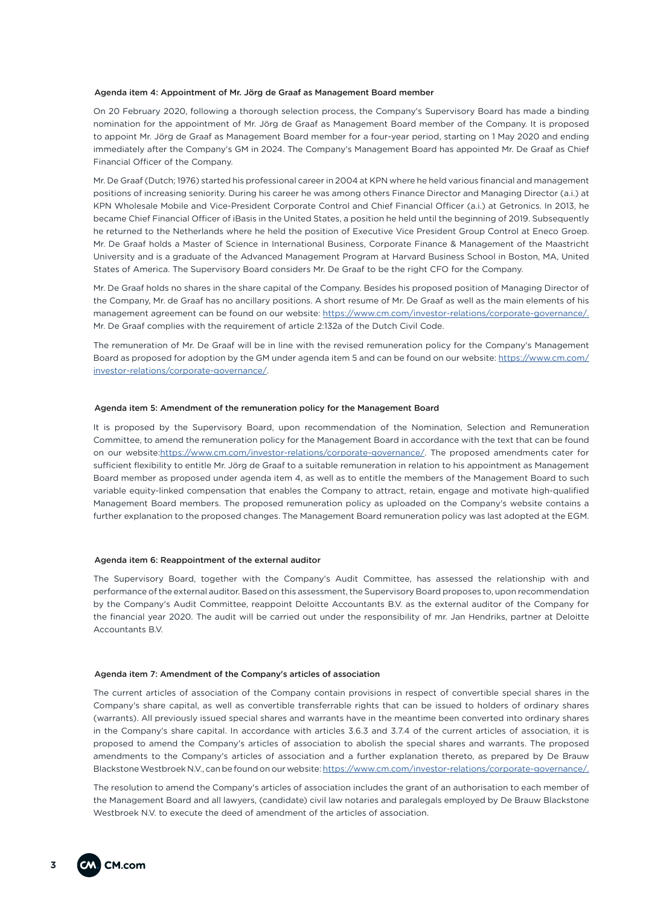### Agenda item 4: Appointment of Mr. Jörg de Graaf as Management Board member

On 20 February 2020, following a thorough selection process, the Company's Supervisory Board has made a binding nomination for the appointment of Mr. Jörg de Graaf as Management Board member of the Company. It is proposed to appoint Mr. Jörg de Graaf as Management Board member for a four-year period, starting on 1 May 2020 and ending immediately after the Company's GM in 2024. The Company's Management Board has appointed Mr. De Graaf as Chief Financial Officer of the Company.

Mr. De Graaf (Dutch; 1976) started his professional career in 2004 at KPN where he held various financial and management positions of increasing seniority. During his career he was among others Finance Director and Managing Director (a.i.) at KPN Wholesale Mobile and Vice-President Corporate Control and Chief Financial Officer (a.i.) at Getronics. In 2013, he became Chief Financial Officer of iBasis in the United States, a position he held until the beginning of 2019. Subsequently he returned to the Netherlands where he held the position of Executive Vice President Group Control at Eneco Groep. Mr. De Graaf holds a Master of Science in International Business, Corporate Finance & Management of the Maastricht University and is a graduate of the Advanced Management Program at Harvard Business School in Boston, MA, United States of America. The Supervisory Board considers Mr. De Graaf to be the right CFO for the Company.

Mr. De Graaf holds no shares in the share capital of the Company. Besides his proposed position of Managing Director of the Company, Mr. de Graaf has no ancillary positions. A short resume of Mr. De Graaf as well as the main elements of his management agreement can be found on our website: https://www.cm.com/investor-relations/corporate-governance/. Mr. De Graaf complies with the requirement of article 2:132a of the Dutch Civil Code.

The remuneration of Mr. De Graaf will be in line with the revised remuneration policy for the Company's Management Board as proposed for adoption by the GM under agenda item 5 and can be found on our website: https://www.cm.com/ investor-relations/corporate-governance/.

#### Agenda item 5: Amendment of the remuneration policy for the Management Board

It is proposed by the Supervisory Board, upon recommendation of the Nomination, Selection and Remuneration Committee, to amend the remuneration policy for the Management Board in accordance with the text that can be found on our website:https://www.cm.com/investor-relations/corporate-governance/. The proposed amendments cater for sufficient flexibility to entitle Mr. Jörg de Graaf to a suitable remuneration in relation to his appointment as Management Board member as proposed under agenda item 4, as well as to entitle the members of the Management Board to such variable equity-linked compensation that enables the Company to attract, retain, engage and motivate high-qualified Management Board members. The proposed remuneration policy as uploaded on the Company's website contains a further explanation to the proposed changes. The Management Board remuneration policy was last adopted at the EGM.

#### Agenda item 6: Reappointment of the external auditor

The Supervisory Board, together with the Company's Audit Committee, has assessed the relationship with and performance of the external auditor. Based on this assessment, the Supervisory Board proposes to, upon recommendation by the Company's Audit Committee, reappoint Deloitte Accountants B.V. as the external auditor of the Company for the financial year 2020. The audit will be carried out under the responsibility of mr. Jan Hendriks, partner at Deloitte Accountants B.V.

#### Agenda item 7: Amendment of the Company's articles of association

The current articles of association of the Company contain provisions in respect of convertible special shares in the Company's share capital, as well as convertible transferrable rights that can be issued to holders of ordinary shares (warrants). All previously issued special shares and warrants have in the meantime been converted into ordinary shares in the Company's share capital. In accordance with articles 3.6.3 and 3.7.4 of the current articles of association, it is proposed to amend the Company's articles of association to abolish the special shares and warrants. The proposed amendments to the Company's articles of association and a further explanation thereto, as prepared by De Brauw Blackstone Westbroek N.V., can be found on our website: https://www.cm.com/investor-relations/corporate-governance/.

The resolution to amend the Company's articles of association includes the grant of an authorisation to each member of the Management Board and all lawyers, (candidate) civil law notaries and paralegals employed by De Brauw Blackstone Westbroek N.V. to execute the deed of amendment of the articles of association.